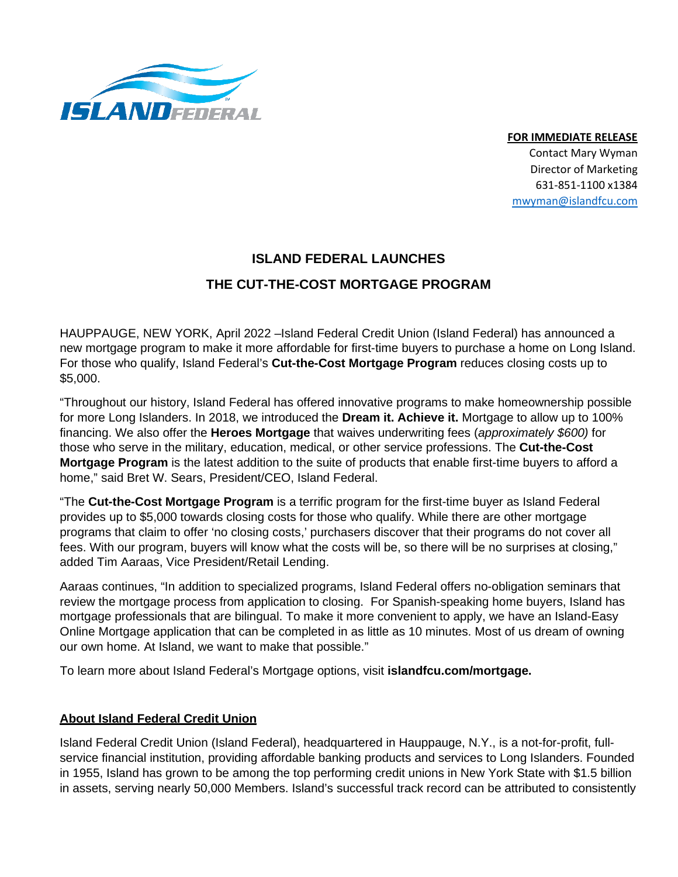

**FOR IMMEDIATE RELEASE** 

Contact Mary Wyman Director of Marketing 631-851-1100 x1384 [mwyman@islandfcu.com](mailto:mwyman@islandfcu.com)

## **ISLAND FEDERAL LAUNCHES**

## **THE CUT-THE-COST MORTGAGE PROGRAM**

HAUPPAUGE, NEW YORK, April 2022 –Island Federal Credit Union (Island Federal) has announced a new mortgage program to make it more affordable for first-time buyers to purchase a home on Long Island. For those who qualify, Island Federal's **Cut-the-Cost Mortgage Program** reduces closing costs up to \$5,000.

"Throughout our history, Island Federal has offered innovative programs to make homeownership possible for more Long Islanders. In 2018, we introduced the **Dream it. Achieve it.** Mortgage to allow up to 100% financing. We also offer the **Heroes Mortgage** that waives underwriting fees (*approximately \$600)* for those who serve in the military, education, medical, or other service professions. The **Cut-the-Cost Mortgage Program** is the latest addition to the suite of products that enable first-time buyers to afford a home," said Bret W. Sears, President/CEO, Island Federal.

"The **Cut-the-Cost Mortgage Program** is a terrific program for the first-time buyer as Island Federal provides up to \$5,000 towards closing costs for those who qualify. While there are other mortgage programs that claim to offer 'no closing costs,' purchasers discover that their programs do not cover all fees. With our program, buyers will know what the costs will be, so there will be no surprises at closing," added Tim Aaraas, Vice President/Retail Lending.

Aaraas continues, "In addition to specialized programs, Island Federal offers no-obligation seminars that review the mortgage process from application to closing. For Spanish-speaking home buyers, Island has mortgage professionals that are bilingual. To make it more convenient to apply, we have an Island-Easy Online Mortgage application that can be completed in as little as 10 minutes. Most of us dream of owning our own home. At Island, we want to make that possible."

To learn more about Island Federal's Mortgage options, visit **islandfcu.com/mortgage.**

## **About Island Federal Credit Union**

Island Federal Credit Union (Island Federal), headquartered in Hauppauge, N.Y., is a not-for-profit, fullservice financial institution, providing affordable banking products and services to Long Islanders. Founded in 1955, Island has grown to be among the top performing credit unions in New York State with \$1.5 billion in assets, serving nearly 50,000 Members. Island's successful track record can be attributed to consistently